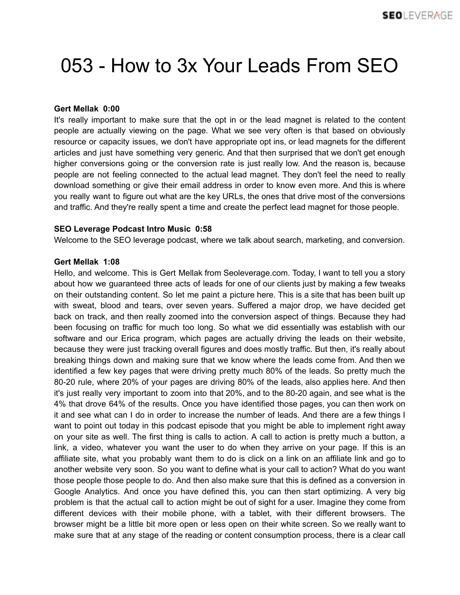## 053 - How to 3x Your Leads From SEO

## **Gert Mellak 0:00**

It's really important to make sure that the opt in or the lead magnet is related to the content people are actually viewing on the page. What we see very often is that based on obviously resource or capacity issues, we don't have appropriate opt ins, or lead magnets for the different articles and just have something very generic. And that then surprised that we don't get enough higher conversions going or the conversion rate is just really low. And the reason is, because people are not feeling connected to the actual lead magnet. They don't feel the need to really download something or give their email address in order to know even more. And this is where you really want to figure out what are the key URLs, the ones that drive most of the conversions and traffic. And they're really spent a time and create the perfect lead magnet for those people.

## **SEO Leverage Podcast Intro Music 0:58**

Welcome to the SEO leverage podcast, where we talk about search, marketing, and conversion.

## **Gert Mellak 1:08**

Hello, and welcome. This is Gert Mellak from Seoleverage.com. Today, I want to tell you a story about how we guaranteed three acts of leads for one of our clients just by making a few tweaks on their outstanding content. So let me paint a picture here. This is a site that has been built up with sweat, blood and tears, over seven years. Suffered a major drop, we have decided get back on track, and then really zoomed into the conversion aspect of things. Because they had been focusing on traffic for much too long. So what we did essentially was establish with our software and our Erica program, which pages are actually driving the leads on their website, because they were just tracking overall figures and does mostly traffic. But then, it's really about breaking things down and making sure that we know where the leads come from. And then we identified a few key pages that were driving pretty much 80% of the leads. So pretty much the 80-20 rule, where 20% of your pages are driving 80% of the leads, also applies here. And then it's just really very important to zoom into that 20%, and to the 80-20 again, and see what is the 4% that drove 64% of the results. Once you have identified those pages, you can then work on it and see what can I do in order to increase the number of leads. And there are a few things I want to point out today in this podcast episode that you might be able to implement right away on your site as well. The first thing is calls to action. A call to action is pretty much a button, a link, a video, whatever you want the user to do when they arrive on your page. If this is an affiliate site, what you probably want them to do is click on a link on an affiliate link and go to another website very soon. So you want to define what is your call to action? What do you want those people those people to do. And then also make sure that this is defined as a conversion in Google Analytics. And once you have defined this, you can then start optimizing. A very big problem is that the actual call to action might be out of sight for a user. Imagine they come from different devices with their mobile phone, with a tablet, with their different browsers. The browser might be a little bit more open or less open on their white screen. So we really want to make sure that at any stage of the reading or content consumption process, there is a clear call